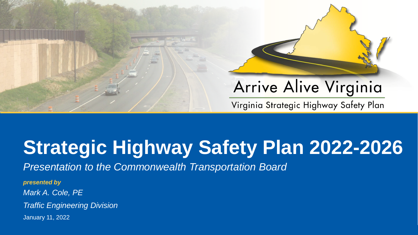

# **Strategic Highway Safety Plan 2022-2026**

*Presentation to the Commonwealth Transportation Board* 

*presented by Mark A. Cole, PE Traffic Engineering Division* January 11, 2022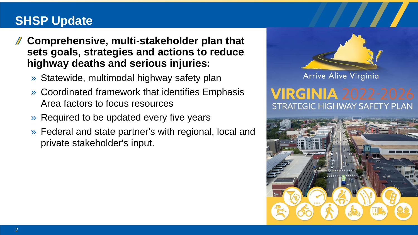# **SHSP Update**

- **Comprehensive, multi-stakeholder plan that sets goals, strategies and actions to reduce highway deaths and serious injuries:**
	- » Statewide, multimodal highway safety plan
	- » Coordinated framework that identifies Emphasis Area factors to focus resources
	- » Required to be updated every five years
	- » Federal and state partner's with regional, local and private stakeholder's input.



Arrive Alive Virginia

# NIA 2022 STRATEGIC HIGHWAY SAFETY PLAN

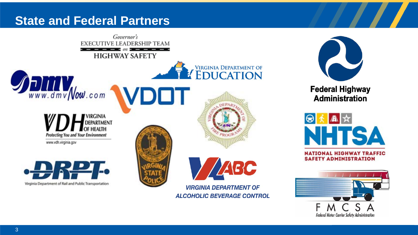#### **State and Federal Partners**

![](_page_2_Picture_1.jpeg)

![](_page_2_Picture_2.jpeg)

**Federal Highway Administration** 

![](_page_2_Picture_4.jpeg)

**SAFETY ADMINISTRATION** 

![](_page_2_Picture_6.jpeg)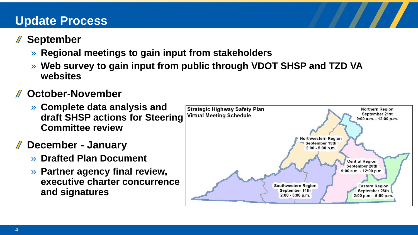# **Update Process**

# **September**

- » **Regional meetings to gain input from stakeholders**
- » **Web survey to gain input from public through VDOT SHSP and TZD VA websites**

# **October-November**

- » **Complete data analysis and draft SHSP actions for Steering Committee review**
- **December - January**
	- » **Drafted Plan Document**
	- » **Partner agency final review, executive charter concurrence and signatures**

![](_page_3_Figure_9.jpeg)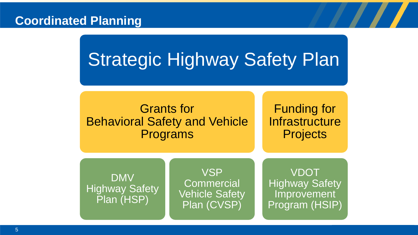#### **Coordinated Planning**

# Strategic Highway Safety Plan

# Grants for Behavioral Safety and Vehicle Programs

Funding for **Infrastructure Projects** 

DMV Highway Safety Plan (HSP)

VSP **Commercial** Vehicle Safety Plan (CVSP)

VDOT Highway Safety Improvement Program (HSIP)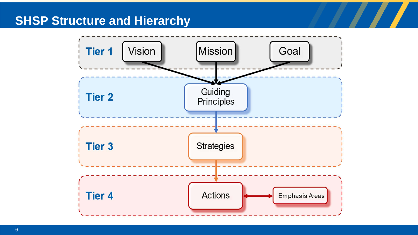#### **SHSP Structure and Hierarchy**

![](_page_5_Figure_1.jpeg)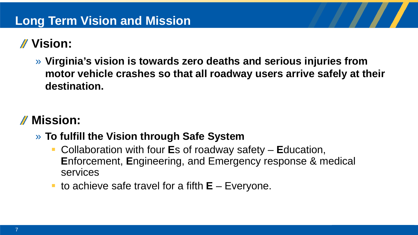# **Vision:**

» **Virginia's vision is towards zero deaths and serious injuries from motor vehicle crashes so that all roadway users arrive safely at their destination.**

# **Mission:**

- » **To fulfill the Vision through Safe System** 
	- Collaboration with four **E**s of roadway safety **E**ducation, **E**nforcement, **E**ngineering, and Emergency response & medical services
	- to achieve safe travel for a fifth **E** Everyone.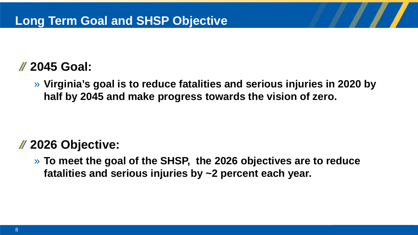# **2045 Goal:**

» **Virginia's goal is to reduce fatalities and serious injuries in 2020 by half by 2045 and make progress towards the vision of zero.**

# **2026 Objective:**

» **To meet the goal of the SHSP, the 2026 objectives are to reduce fatalities and serious injuries by ~2 percent each year.**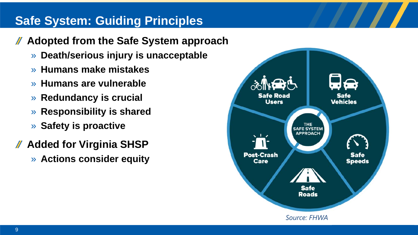# **Safe System: Guiding Principles**

- **Adopted from the Safe System approach**  $\mathcal{U}$ 
	- » **Death/serious injury is unacceptable**
	- » **Humans make mistakes**
	- » **Humans are vulnerable**
	- » **Redundancy is crucial**
	- » **Responsibility is shared**
	- » **Safety is proactive**
- **Added for Virginia SHSP**
	- » **Actions consider equity**

![](_page_8_Figure_10.jpeg)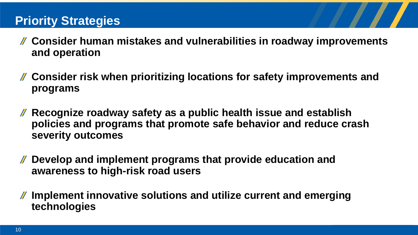# **Priority Strategies**

- **Consider human mistakes and vulnerabilities in roadway improvements and operation**
- **Consider risk when prioritizing locations for safety improvements and programs**
- **Recognize roadway safety as a public health issue and establish policies and programs that promote safe behavior and reduce crash severity outcomes**
- **Develop and implement programs that provide education and awareness to high-risk road users**
- **Implement innovative solutions and utilize current and emerging technologies**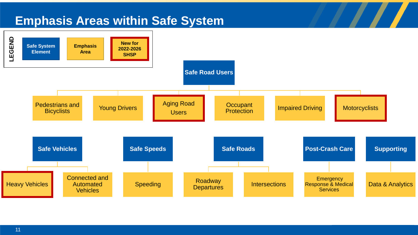## **Emphasis Areas within Safe System**

![](_page_10_Figure_1.jpeg)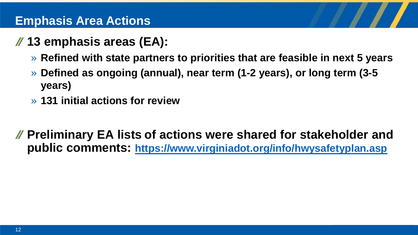#### **Emphasis Area Actions**

# **13 emphasis areas (EA):**

- » **Refined with state partners to priorities that are feasible in next 5 years**
- » **Defined as ongoing (annual), near term (1-2 years), or long term (3-5 years)**
- » **131 initial actions for review**
- **Preliminary EA lists of actions were shared for stakeholder and public comments: <https://www.virginiadot.org/info/hwysafetyplan.asp>**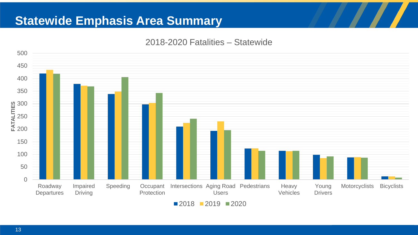## **Statewide Emphasis Area Summary**

#### 2018-2020 Fatalities – Statewide

![](_page_12_Figure_2.jpeg)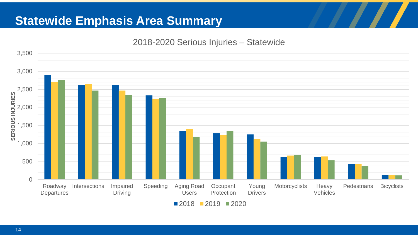## **Statewide Emphasis Area Summary**

#### 2018-2020 Serious Injuries – Statewide

![](_page_13_Figure_2.jpeg)

 $\blacksquare$  2018  $\blacksquare$  2019  $\blacksquare$  2020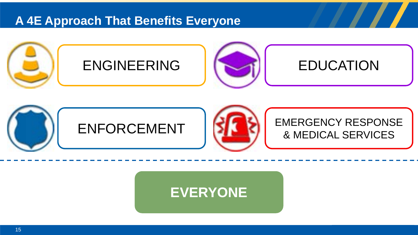#### **A 4E Approach That Benefits Everyone**

![](_page_14_Picture_1.jpeg)

![](_page_14_Picture_2.jpeg)

# **EVERYONE**